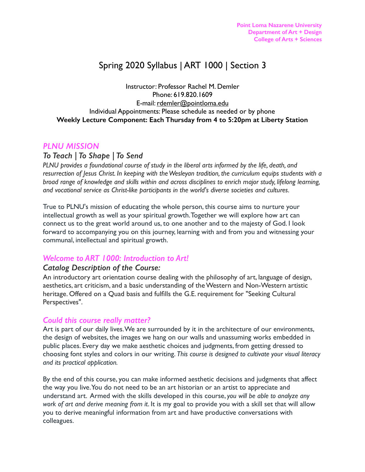# Spring 2020 Syllabus | ART 1000 | Section 3

Instructor: Professor Rachel M. Demler Phone: 619.820.1609 E-mail: [rdemler@pointloma.edu](mailto:rdemler@pointloma.edu) Individual Appointments: Please schedule as needed or by phone **Weekly Lecture Component: Each Thursday from 4 to 5:20pm at Liberty Station** 

# *PLNU MISSION*

# *To Teach | To Shape | To Send*

*PLNU provides a foundational course of study in the liberal arts informed by the life, death, and resurrection of Jesus Christ. In keeping with the Wesleyan tradition, the curriculum equips students with a broad range of knowledge and skills within and across disciplines to enrich major study, lifelong learning, and vocational service as Christ-like participants in the world's diverse societies and cultures.*

True to PLNU's mission of educating the whole person, this course aims to nurture your intellectual growth as well as your spiritual growth. Together we will explore how art can connect us to the great world around us, to one another and to the majesty of God. I look forward to accompanying you on this journey, learning with and from you and witnessing your communal, intellectual and spiritual growth.

# *Welcome to ART 1000: Introduction to Art!*

# *Catalog Description of the Course:*

An introductory art orientation course dealing with the philosophy of art, language of design, aesthetics, art criticism, and a basic understanding of the Western and Non-Western artistic heritage. Offered on a Quad basis and fulfills the G.E. requirement for "Seeking Cultural Perspectives".

# *Could this course really matter?*

Art is part of our daily lives. We are surrounded by it in the architecture of our environments, the design of websites, the images we hang on our walls and unassuming works embedded in public places. Every day we make aesthetic choices and judgments, from getting dressed to choosing font styles and colors in our writing. *This course is designed to cultivate your visual literacy and its practical application.*

By the end of this course, you can make informed aesthetic decisions and judgments that affect the way you live. You do not need to be an art historian or an artist to appreciate and understand art. Armed with the skills developed in this course, *you will be able to analyze any work of art and derive meaning from it*. It is my goal to provide you with a skill set that will allow you to derive meaningful information from art and have productive conversations with colleagues.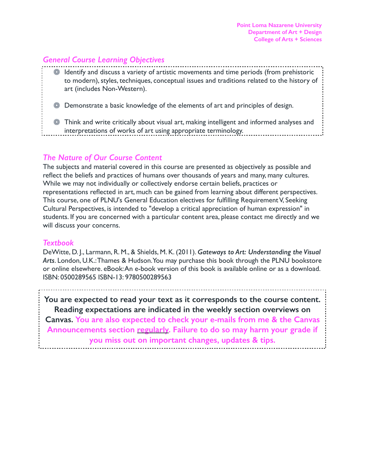# *General Course Learning Objectives*

- Identify and discuss a variety of artistic movements and time periods (from prehistoric to modern), styles, techniques, conceptual issues and traditions related to the history of art (includes Non-Western).
- Demonstrate a basic knowledge of the elements of art and principles of design.
- Think and write critically about visual art, making intelligent and informed analyses and interpretations of works of art using appropriate terminology.

# *The Nature of Our Course Content*

The subjects and material covered in this course are presented as objectively as possible and reflect the beliefs and practices of humans over thousands of years and many, many cultures. While we may not individually or collectively endorse certain beliefs, practices or representations reflected in art, much can be gained from learning about different perspectives. This course, one of PLNU's General Education electives for fulfilling Requirement V, Seeking Cultural Perspectives, is intended to "develop a critical appreciation of human expression" in students. If you are concerned with a particular content area, please contact me directly and we will discuss your concerns.

# *Textbook*

DeWitte, D. J., Larmann, R. M., & Shields, M. K. (2011). *Gateways to Art: Understanding the Visual Arts*. London, U.K.: Thames & Hudson. You may purchase this book through the PLNU bookstore or online elsewhere. eBook: An e-book version of this book is available online or as a download. ISBN: 0500289565 ISBN-13: 9780500289563

**You are expected to read your text as it corresponds to the course content. Reading expectations are indicated in the weekly section overviews on Canvas. You are also expected to check your e-mails from me & the Canvas Announcements section regularly. Failure to do so may harm your grade if you miss out on important changes, updates & tips.**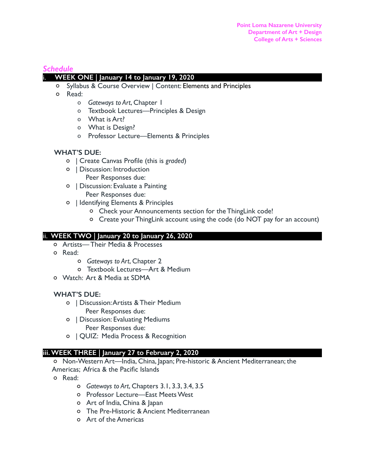# *Schedule*

#### i. **WEEK ONE | January 14 to January 19, 2020**

- Syllabus & Course Overview | Content: Elements and Principles  $\circ$
- o Read:
	- o *Gateways to Art*, Chapter 1
	- o Textbook Lectures—Principles & Design
	- o What is Art?
	- o What is Design?
	- o Professor Lecture—Elements & Principles

#### **WHAT'S DUE:**

- | Create Canvas Profile (this is *graded*)
- | Discussion: Introduction Peer Responses due:
- | Discussion: Evaluate a Painting
	- Peer Responses due:
- | Identifying Elements & Principles
	- Check your Announcements section for the ThingLink code!
	- Create your ThingLink account using the code (do NOT pay for an account)

#### ii. **WEEK TWO | January 20 to January 26, 2020**

- Artists— Their Media & Processes
- o Read:
	- *Gateways to Art*, Chapter 2
	- Textbook Lectures—Art & Medium
- Watch: Art & Media at SDMA

#### **WHAT'S DUE:**

- | Discussion: Artists & Their Medium Peer Responses due:
- | Discussion: Evaluating Mediums Peer Responses due:
- | QUIZ: Media Process & Recognition

#### **iii. WEEK THREE | January 27 to February 2, 2020**

- Non-Western Art—India, China, Japan; Pre-historic & Ancient Mediterranean; the Americas; Africa & the Pacific Islands
- o Read:
	- *Gateways to Art*, Chapters 3.1, 3.3, 3.4, 3.5
	- Professor Lecture—East Meets West
	- Art of India, China & Japan
	- The Pre-Historic & Ancient Mediterranean
	- Art of the Americas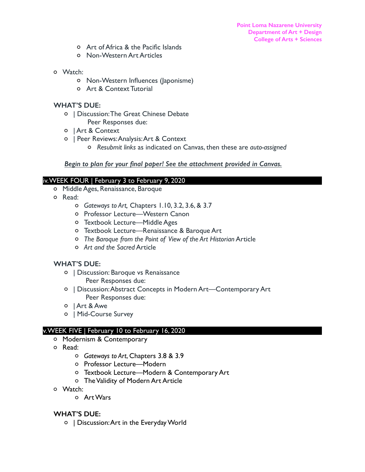- Art of Africa & the Pacific Islands
- Non-Western Art Articles
- Watch:
	- Non-Western Influences (Japonisme)
	- Art & Context Tutorial

#### **WHAT'S DUE:**

- | Discussion: The Great Chinese Debate Peer Responses due:
- | Art & Context
- | Peer Reviews: Analysis: Art & Context
	- *Resubmit links* as indicated on Canvas, then these are *auto-assigned*

#### *Begin to plan for your final paper! See the attachment provided in Canvas.*

#### iv. WEEK FOUR | February 3 to February 9, 2020

- Middle Ages, Renaissance, Baroque
- o Read:
	- *Gateways to Art,* Chapters 1.10, 3.2, 3.6, & 3.7
	- Professor Lecture—Western Canon
	- Textbook Lecture—Middle Ages
	- Textbook Lecture—Renaissance & Baroque Art
	- *The Baroque from the Point of View of the Art Historian* Article
	- *Art and the Sacred* Article

## **WHAT'S DUE:**

- | Discussion: Baroque vs Renaissance Peer Responses due:
- | Discussion: Abstract Concepts in Modern Art—Contemporary Art Peer Responses due:
- | Art & Awe
- | Mid-Course Survey

#### v. WEEK FIVE | February 10 to February 16, 2020

- o Modernism & Contemporary
- o Read:
	- *Gateways to Art*, Chapters 3.8 & 3.9
	- Professor Lecture—Modern
	- Textbook Lecture—Modern & Contemporary Art
	- The Validity of Modern Art Article
- Watch:
	- Art Wars

#### **WHAT'S DUE:**

| Discussion: Art in the Everyday World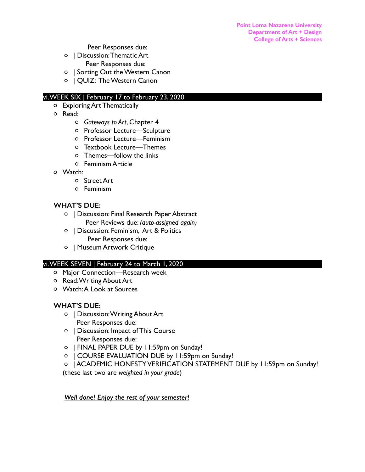Peer Responses due:

- | Discussion: Thematic Art Peer Responses due:
- o | Sorting Out the Western Canon
- o | QUIZ: The Western Canon

#### vi. WEEK SIX | February 17 to February 23, 2020

- Exploring Art Thematically
- Read:
	- *Gateways to Art*, Chapter 4
	- Professor Lecture—Sculpture
	- Professor Lecture—Feminism
	- Textbook Lecture—Themes
	- Themes—follow the links
	- Feminism Article
- Watch:
	- Street Art
	- Feminism

#### **WHAT'S DUE:**

- | Discussion: Final Research Paper Abstract Peer Reviews due: *(auto-assigned again)*
- | Discussion: Feminism, Art & Politics
	- Peer Responses due:
- | Museum Artwork Critique

#### vi. WEEK SEVEN | February 24 to March 1, 2020

- Major Connection—Research week
- Read: Writing About Art
- Watch: A Look at Sources

#### **WHAT'S DUE:**

- | Discussion: Writing About Art Peer Responses due:
- | Discussion: Impact of This Course Peer Responses due:
- | FINAL PAPER DUE by 11:59pm on Sunday!
- | COURSE EVALUATION DUE by 11:59pm on Sunday!
- | ACADEMIC HONESTY VERIFICATION STATEMENT DUE by 11:59pm on Sunday!

(these last two are *weighted in your grade*)

#### *Well done! Enjoy the rest of your semester!*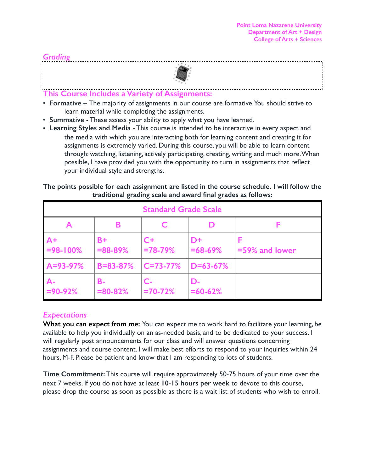#### *Grading*



# **This Course Includes a Variety of Assignments:**

- **Formative** The majority of assignments in our course are formative. You should strive to learn material while completing the assignments.
- **Summative** These assess your ability to apply what you have learned.
- **Learning Styles and Media**  This course is intended to be interactive in every aspect and the media with which you are interacting both for learning content and creating it for assignments is extremely varied. During this course, you will be able to learn content through: watching, listening, actively participating, creating, writing and much more. When possible, I have provided you with the opportunity to turn in assignments that reflect your individual style and strengths.

# **The points possible for each assignment are listed in the course schedule. I will follow the traditional grading scale and award final grades as follows:**

| <b>Standard Grade Scale</b> |                      |                   |                                |                |
|-----------------------------|----------------------|-------------------|--------------------------------|----------------|
|                             | Β                    |                   |                                |                |
| $A+$<br>$= 98 - 100\%$      | $B+$<br>$= 88 - 89%$ | $C+$<br>$=78-79%$ | $\mathbf{D}+$<br>$= 68 - 69\%$ | =59% and lower |
| A=93-97%                    | <b>B=83-87%</b>      | $C = 73 - 77%$    | $D = 63 - 67%$                 |                |
| $A -$<br>$= 90 - 92%$       | В-<br>$= 80 - 82%$   | C-<br>$=70-72%$   | D-<br>$= 60 - 62%$             |                |

# *Expectations*

**What you can expect from me:** You can expect me to work hard to facilitate your learning, be available to help you individually on an as-needed basis, and to be dedicated to your success. I will regularly post announcements for our class and will answer questions concerning assignments and course content. I will make best efforts to respond to your inquiries within 24 hours, M-F. Please be patient and know that I am responding to lots of students.

**Time Commitment:** This course will require approximately 50-75 hours of your time over the next 7 weeks. If you do not have at least **10-15 hours per week** to devote to this course, please drop the course as soon as possible as there is a wait list of students who wish to enroll.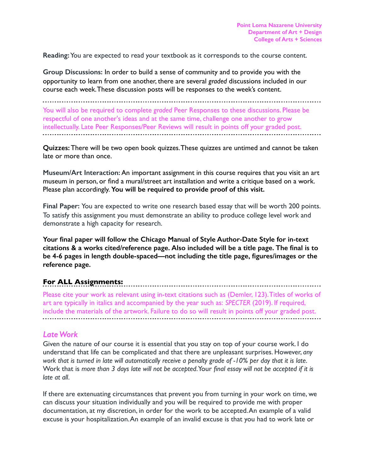**Reading:** You are expected to read your textbook as it corresponds to the course content.

**Group Discussions:** In order to build a sense of community and to provide you with the opportunity to learn from one another, there are several *graded* discussions included in our course each week. These discussion posts will be responses to the week's content.

You will also be required to complete *graded* Peer Responses to these discussions. Please be respectful of one another's ideas and at the same time, challenge one another to grow intellectually. Late Peer Responses/Peer Reviews will result in points off your graded post.

**Quizzes:** There will be two open book quizzes. These quizzes are untimed and cannot be taken late or more than once.

**Museum/Art Interaction:** An important assignment in this course requires that you visit an art museum in person, or find a mural/street art installation and write a critique based on a work. Please plan accordingly. **You will be required to provide proof of this visit.** 

**Final Paper:** You are expected to write one research based essay that will be worth 200 points. To satisfy this assignment you must demonstrate an ability to produce college level work and demonstrate a high capacity for research.

**Your final paper will follow the Chicago Manual of Style Author-Date Style for in-text citations & a works cited/reference page. Also included will be a title page. The final is to be 4-6 pages in length double-spaced—not including the title page, figures/images or the reference page.**

## **For ALL Assignments:**

Please cite your work as relevant using in-text citations such as (Demler, 123). Titles of works of art are typically in italics and accompanied by the year such as: *SPECTER* (2019). If required, include the materials of the artwork. Failure to do so will result in points off your graded post.

## *Late Work*

Given the nature of our course it is essential that you stay on top of your course work. I do understand that life can be complicated and that there are unpleasant surprises. However, *any work that is turned in late will automatically receive a penalty grade of -10% per day that it is late*. Work that is *more than 3 days late will not be accepted*. Your *final essay will not be accepted if it is late at all*.

If there are extenuating circumstances that prevent you from turning in your work on time, we can discuss your situation individually and you will be required to provide me with proper documentation, at my discretion, in order for the work to be accepted. An example of a valid excuse is your hospitalization. An example of an invalid excuse is that you had to work late or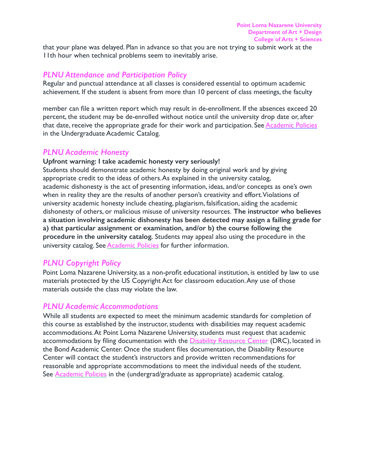that your plane was delayed. Plan in advance so that you are not trying to submit work at the 11th hour when technical problems seem to inevitably arise.

# *PLNU Attendance and Participation Policy*

Regular and punctual attendance at all classes is considered essential to optimum academic achievement. If the student is absent from more than 10 percent of class meetings, the faculty

member can file a written report which may result in de-enrollment. If the absences exceed 20 percent, the student may be de-enrolled without notice until the university drop date or, after that date, receive the appropriate grade for their work and participation. See [Academic Policies](http://catalog.pointloma.edu/content.php?catoid=18&navoid=1278) in the Undergraduate Academic Catalog.

# *PLNU Academic Honesty*

#### **Upfront warning: I take academic honesty very seriously!**

Students should demonstrate academic honesty by doing original work and by giving appropriate credit to the ideas of others. As explained in the university catalog, academic dishonesty is the act of presenting information, ideas, and/or concepts as one's own when in reality they are the results of another person's creativity and effort. Violations of university academic honesty include cheating, plagiarism, falsification, aiding the academic dishonesty of others, or malicious misuse of university resources. **The instructor who believes a situation involving academic dishonesty has been detected may assign a failing grade for a) that particular assignment or examination, and/or b) the course following the procedure in the university catalog.** Students may appeal also using the procedure in the university catalog. See **[Academic Policies](https://www.google.com/url?q=http://www.pointloma.edu/experience/academics/catalogs/undergraduate-catalog/point-loma-education/academic-policies&sa=D&ust=1527141812806000)** for further information.

# *PLNU Copyright Policy*

Point Loma Nazarene University, as a non-profit educational institution, is entitled by law to use materials protected by the US Copyright Act for classroom education. Any use of those materials outside the class may violate the law.

## *PLNU Academic Accommodations*

While all students are expected to meet the minimum academic standards for completion of this course as established by the instructor, students with disabilities may request academic accommodations. At Point Loma Nazarene Univer[s](https://www.google.com/url?q=http://www.pointloma.edu/experience/offices/administrative-offices/academic-advising-office/disability-resource-center&sa=D&ust=1527141812807000)ity, students must request that academic accommodations by filing documentation with the **[Disability Resource Center](https://www.google.com/url?q=http://www.pointloma.edu/experience/offices/administrative-offices/academic-advising-office/disability-resource-center&sa=D&ust=1527141812807000)** (DRC), located in the Bond Academic Center. Once the student files documentation, the Disability Resource Center will contact the student's instructors and provide written recommendations for rea[so](https://www.google.com/url?q=http://www.pointloma.edu/experience/academics/catalogs/undergraduate-catalog/point-loma-education/academic-policies&sa=D&ust=1527141812808000)nable and appropriate accommodations to meet the individual needs of the student. See [Academic Policies](https://www.google.com/url?q=http://www.pointloma.edu/experience/academics/catalogs/undergraduate-catalog/point-loma-education/academic-policies&sa=D&ust=1527141812808000) in the (undergrad/graduate as appropriate) academic catalog.